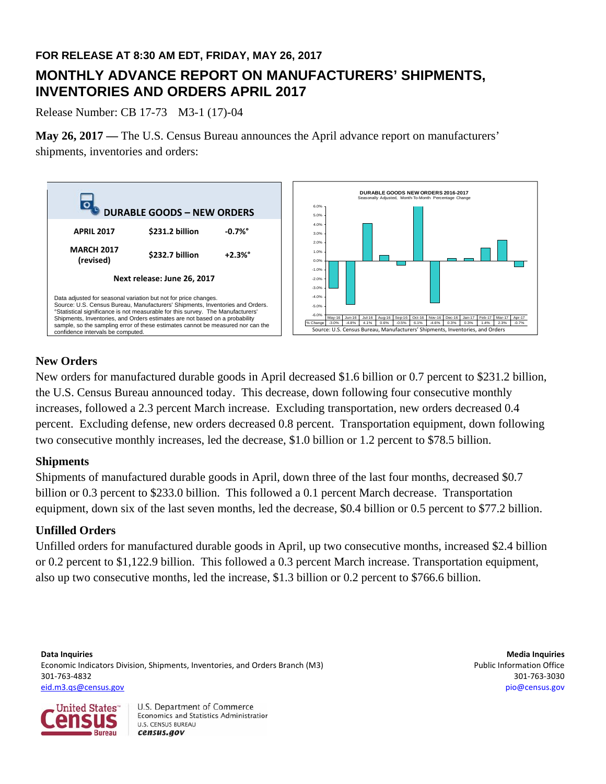## **FOR RELEASE AT 8:30 AM EDT, FRIDAY, MAY 26, 2017**

# **MONTHLY ADVANCE REPORT ON MANUFACTURERS' SHIPMENTS, INVENTORIES AND ORDERS APRIL 2017**

Release Number: CB 17-73 M3-1 (17)-04

**May 26, 2017 —** The U.S. Census Bureau announces the April advance report on manufacturers' shipments, inventories and orders:



## **New Orders**

New orders for manufactured durable goods in April decreased \$1.6 billion or 0.7 percent to \$231.2 billion, the U.S. Census Bureau announced today. This decrease, down following four consecutive monthly increases, followed a 2.3 percent March increase. Excluding transportation, new orders decreased 0.4 percent. Excluding defense, new orders decreased 0.8 percent. Transportation equipment, down following two consecutive monthly increases, led the decrease, \$1.0 billion or 1.2 percent to \$78.5 billion.

## **Shipments**

Shipments of manufactured durable goods in April, down three of the last four months, decreased \$0.7 billion or 0.3 percent to \$233.0 billion. This followed a 0.1 percent March decrease. Transportation equipment, down six of the last seven months, led the decrease, \$0.4 billion or 0.5 percent to \$77.2 billion.

## **Unfilled Orders**

Unfilled orders for manufactured durable goods in April, up two consecutive months, increased \$2.4 billion or 0.2 percent to \$1,122.9 billion. This followed a 0.3 percent March increase. Transportation equipment, also up two consecutive months, led the increase, \$1.3 billion or 0.2 percent to \$766.6 billion.

**Data Inquiries Media Inquiries** Economic Indicators Division, Shipments, Inventories, and Orders Branch (M3) **Public Information Office** Public Information Office 301‐763‐4832 301‐763‐3030 eid.m3.qs@census.gov pio@census.gov

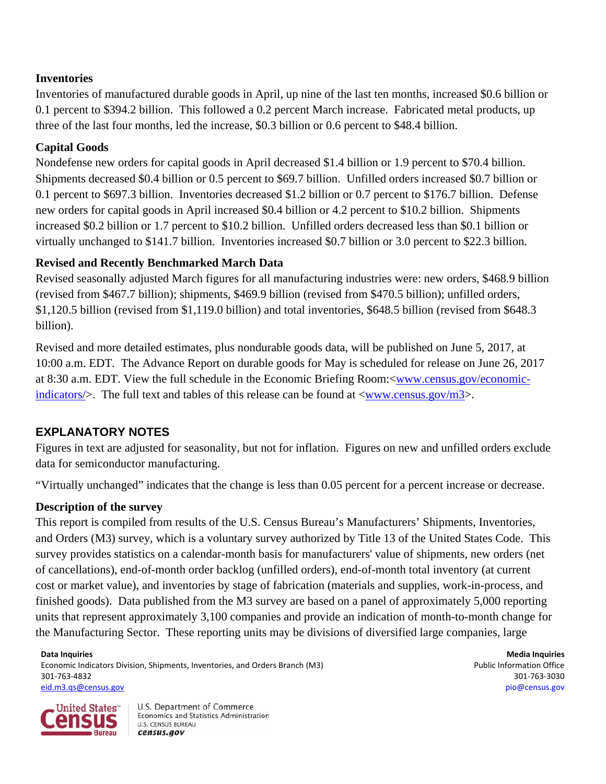## **Inventories**

Inventories of manufactured durable goods in April, up nine of the last ten months, increased \$0.6 billion or 0.1 percent to \$394.2 billion. This followed a 0.2 percent March increase. Fabricated metal products, up three of the last four months, led the increase, \$0.3 billion or 0.6 percent to \$48.4 billion.

## **Capital Goods**

Nondefense new orders for capital goods in April decreased \$1.4 billion or 1.9 percent to \$70.4 billion. Shipments decreased \$0.4 billion or 0.5 percent to \$69.7 billion. Unfilled orders increased \$0.7 billion or 0.1 percent to \$697.3 billion. Inventories decreased \$1.2 billion or 0.7 percent to \$176.7 billion. Defense new orders for capital goods in April increased \$0.4 billion or 4.2 percent to \$10.2 billion. Shipments increased \$0.2 billion or 1.7 percent to \$10.2 billion. Unfilled orders decreased less than \$0.1 billion or virtually unchanged to \$141.7 billion. Inventories increased \$0.7 billion or 3.0 percent to \$22.3 billion.

## **Revised and Recently Benchmarked March Data**

Revised seasonally adjusted March figures for all manufacturing industries were: new orders, \$468.9 billion (revised from \$467.7 billion); shipments, \$469.9 billion (revised from \$470.5 billion); unfilled orders, \$1,120.5 billion (revised from \$1,119.0 billion) and total inventories, \$648.5 billion (revised from \$648.3 billion).

Revised and more detailed estimates, plus nondurable goods data, will be published on June 5, 2017, at 10:00 a.m. EDT. The Advance Report on durable goods for May is scheduled for release on June 26, 2017 at 8:30 a.m. EDT. View the full schedule in the Economic Briefing Room:<www.census.gov/economicindicators/ $>$ . The full text and tables of this release can be found at  $\langle \text{www.census.gov/m3} \rangle$ .

## **EXPLANATORY NOTES**

Figures in text are adjusted for seasonality, but not for inflation. Figures on new and unfilled orders exclude data for semiconductor manufacturing.

"Virtually unchanged" indicates that the change is less than 0.05 percent for a percent increase or decrease.

## **Description of the survey**

This report is compiled from results of the U.S. Census Bureau's Manufacturers' Shipments, Inventories, and Orders (M3) survey, which is a voluntary survey authorized by Title 13 of the United States Code. This survey provides statistics on a calendar-month basis for manufacturers' value of shipments, new orders (net of cancellations), end-of-month order backlog (unfilled orders), end-of-month total inventory (at current cost or market value), and inventories by stage of fabrication (materials and supplies, work-in-process, and finished goods). Data published from the M3 survey are based on a panel of approximately 5,000 reporting units that represent approximately 3,100 companies and provide an indication of month-to-month change for the Manufacturing Sector. These reporting units may be divisions of diversified large companies, large

**Data Inquiries Media Inquiries** Economic Indicators Division, Shipments, Inventories, and Orders Branch (M3) **Public Information Office** Public Information Office 301‐763‐4832 301‐763‐3030 eid.m3.qs@census.gov pio@census.gov

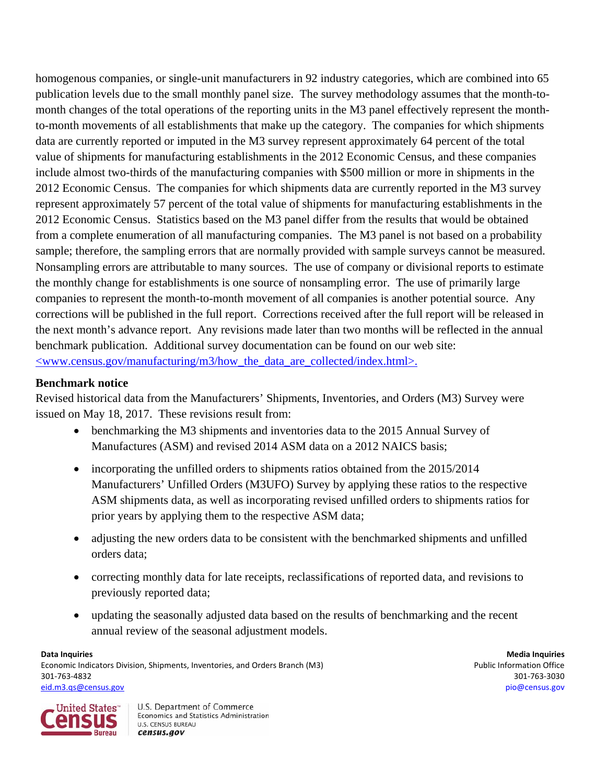homogenous companies, or single-unit manufacturers in 92 industry categories, which are combined into 65 publication levels due to the small monthly panel size. The survey methodology assumes that the month-tomonth changes of the total operations of the reporting units in the M3 panel effectively represent the monthto-month movements of all establishments that make up the category.The companies for which shipments data are currently reported or imputed in the M3 survey represent approximately 64 percent of the total value of shipments for manufacturing establishments in the 2012 Economic Census, and these companies include almost two-thirds of the manufacturing companies with \$500 million or more in shipments in the 2012 Economic Census. The companies for which shipments data are currently reported in the M3 survey represent approximately 57 percent of the total value of shipments for manufacturing establishments in the 2012 Economic Census. Statistics based on the M3 panel differ from the results that would be obtained from a complete enumeration of all manufacturing companies. The M3 panel is not based on a probability sample; therefore, the sampling errors that are normally provided with sample surveys cannot be measured. Nonsampling errors are attributable to many sources. The use of company or divisional reports to estimate the monthly change for establishments is one source of nonsampling error. The use of primarily large companies to represent the month-to-month movement of all companies is another potential source. Any corrections will be published in the full report. Corrections received after the full report will be released in the next month's advance report. Any revisions made later than two months will be reflected in the annual benchmark publication.Additional survey documentation can be found on our web site: <www.census.gov/manufacturing/m3/how\_the\_data\_are\_collected/index.html>.

## **Benchmark notice**

Revised historical data from the Manufacturers' Shipments, Inventories, and Orders (M3) Survey were issued on May 18, 2017. These revisions result from:

- benchmarking the M3 shipments and inventories data to the 2015 Annual Survey of Manufactures (ASM) and revised 2014 ASM data on a 2012 NAICS basis;
- incorporating the unfilled orders to shipments ratios obtained from the 2015/2014 Manufacturers' Unfilled Orders (M3UFO) Survey by applying these ratios to the respective ASM shipments data, as well as incorporating revised unfilled orders to shipments ratios for prior years by applying them to the respective ASM data;
- adjusting the new orders data to be consistent with the benchmarked shipments and unfilled orders data;
- correcting monthly data for late receipts, reclassifications of reported data, and revisions to previously reported data;
- updating the seasonally adjusted data based on the results of benchmarking and the recent annual review of the seasonal adjustment models.

**Data Inquiries Media Inquiries** Economic Indicators Division, Shipments, Inventories, and Orders Branch (M3) **Public Information Office** Public Information Office 301‐763‐4832 301‐763‐3030 eid.m3.qs@census.gov pio@census.gov

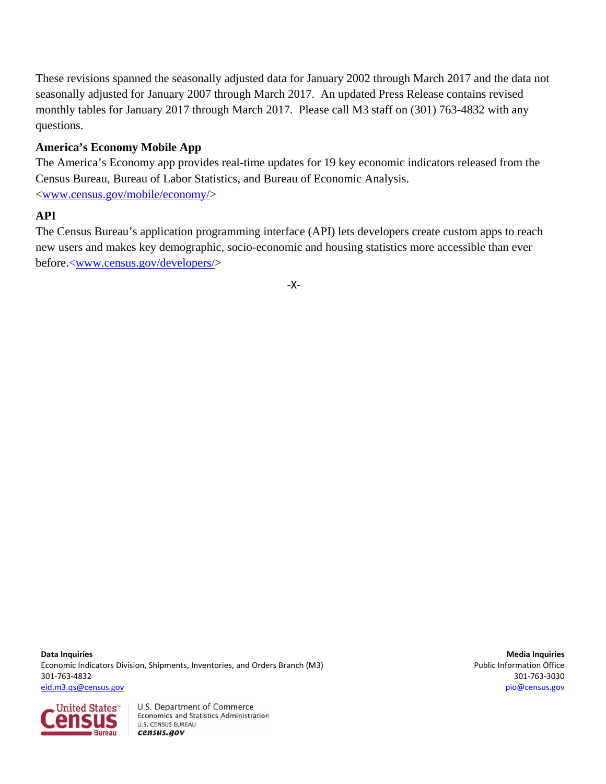These revisions spanned the seasonally adjusted data for January 2002 through March 2017 and the data not seasonally adjusted for January 2007 through March 2017. An updated Press Release contains revised monthly tables for January 2017 through March 2017. Please call M3 staff on (301) 763-4832 with any questions.

## **America's Economy Mobile App**

The America's Economy app provides real-time updates for 19 key economic indicators released from the Census Bureau, Bureau of Labor Statistics, and Bureau of Economic Analysis. <www.census.gov/mobile/economy/>

## **API**

The Census Bureau's application programming interface (API) lets developers create custom apps to reach new users and makes key demographic, socio-economic and housing statistics more accessible than ever before.<www.census.gov/developers/>

‐X‐

**Data Inquiries Media Inquiries** Economic Indicators Division, Shipments, Inventories, and Orders Branch (M3) **Public Information Office** Public Information Office 301‐763‐4832 301‐763‐3030 eid.m3.qs@census.gov pio@census.gov

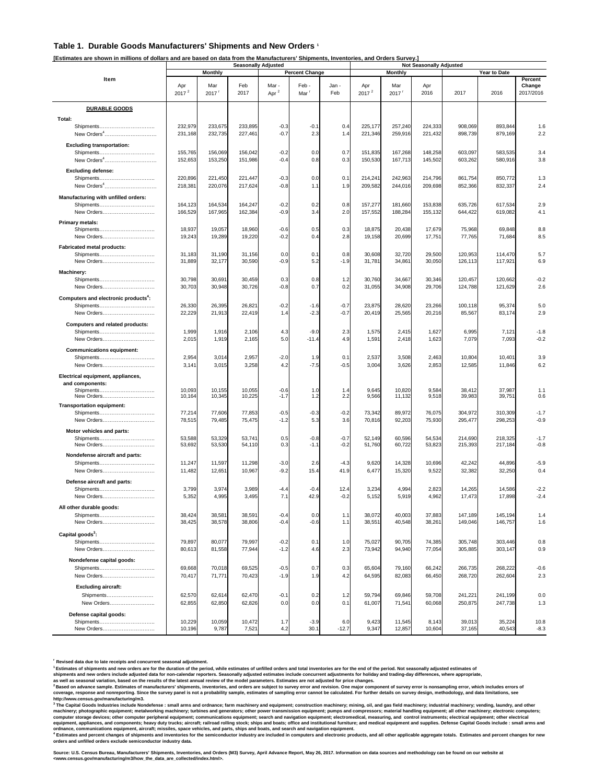#### **Table 1. Durable Goods Manufacturers' Shipments and New Orders 1**

**[Estimates are shown in millions of dollars and are based on data from the Manufacturers' Shipments, Inventories, and Orders Survey.]**

|                                                               | <b>Seasonally Adjusted</b>              |                            |                    |                   |                          | <b>Not Seasonally Adjusted</b> |                          |                            |                    |                    |                    |                                |
|---------------------------------------------------------------|-----------------------------------------|----------------------------|--------------------|-------------------|--------------------------|--------------------------------|--------------------------|----------------------------|--------------------|--------------------|--------------------|--------------------------------|
|                                                               | <b>Percent Change</b><br><b>Monthly</b> |                            |                    |                   |                          |                                |                          | <b>Monthly</b>             |                    | Year to Date       |                    |                                |
| Item                                                          | Apr<br>2017 <sup>2</sup>                | Mar<br>$2017$ <sup>r</sup> | Feb<br>2017        | Mar -<br>Apr $^2$ | Feb-<br>Mar <sup>r</sup> | Jan -<br>Feb                   | Apr<br>2017 <sup>2</sup> | Mar<br>$2017$ <sup>r</sup> | Apr<br>2016        | 2017               | 2016               | Percent<br>Change<br>2017/2016 |
| <b>DURABLE GOODS</b>                                          |                                         |                            |                    |                   |                          |                                |                          |                            |                    |                    |                    |                                |
|                                                               |                                         |                            |                    |                   |                          |                                |                          |                            |                    |                    |                    |                                |
| Total:<br>Shipments<br>New Orders <sup>4</sup>                | 232,979<br>231,168                      | 233,675<br>232,735         | 233,895<br>227,461 | $-0.3$<br>$-0.7$  | $-0.1$<br>2.3            | 0.4<br>1.4                     | 225,177<br>221,346       | 257,240<br>259,916         | 224,333<br>221,432 | 908,069<br>898,739 | 893,844<br>879,169 | 1.6<br>2.2                     |
| <b>Excluding transportation:</b>                              |                                         |                            |                    |                   |                          |                                |                          |                            |                    |                    |                    |                                |
| Shipments                                                     | 155,765                                 | 156,069                    | 156,042            | $-0.2$            | 0.0                      | 0.7                            | 151,835                  | 167,268                    | 148,258            | 603,097            | 583,535            | 3.4                            |
| New Orders <sup>4</sup>                                       | 152,653                                 | 153,250                    | 151,986            | $-0.4$            | 0.8                      | 0.3                            | 150,530                  | 167,713                    | 145,502            | 603,262            | 580,916            | 3.8                            |
| <b>Excluding defense:</b>                                     |                                         |                            |                    |                   |                          |                                |                          |                            |                    |                    |                    |                                |
| Shipments                                                     | 220,896                                 | 221,450                    | 221,447            | $-0.3$            | 0.0                      | 0.1                            | 214,241                  | 242,963                    | 214,796            | 861,754            | 850,772            | 1.3                            |
| New Orders <sup>4</sup>                                       | 218,381                                 | 220,076                    | 217,624            | $-0.8$            | 1.1                      | 1.9                            | 209,582                  | 244,016                    | 209,698            | 852,366            | 832,337            | 2.4                            |
| Manufacturing with unfilled orders:                           |                                         |                            |                    |                   |                          |                                |                          |                            |                    |                    |                    |                                |
| Shipments                                                     | 164,123                                 | 164,534                    | 164,247            | $-0.2$            | 0.2                      | 0.8                            | 157,277                  | 181,660                    | 153,838            | 635,726            | 617,534            | 2.9                            |
| New Orders                                                    | 166,529                                 | 167,965                    | 162,384            | $-0.9$            | 3.4                      | 2.0                            | 157,552                  | 188,284                    | 155,132            | 644,422            | 619,082            | 4.1                            |
| Primary metals:                                               |                                         |                            |                    |                   |                          |                                |                          |                            |                    |                    |                    |                                |
| Shipments                                                     | 18,937                                  | 19,057                     | 18,960             | $-0.6$            | 0.5                      | 0.3                            | 18,875                   | 20,438                     | 17,679             | 75,968             | 69,848             | 8.8                            |
| New Orders                                                    | 19,243                                  | 19,289                     | 19,220             | $-0.2$            | 0.4                      | 2.8                            | 19,158                   | 20,699                     | 17,751             | 77,765             | 71,684             | 8.5                            |
| <b>Fabricated metal products:</b>                             |                                         |                            |                    |                   |                          |                                |                          |                            |                    |                    |                    |                                |
| New Orders                                                    | 31,183<br>31,889                        | 31,190<br>32,177           | 31,156<br>30,590   | 0.0<br>$-0.9$     | 0.1<br>5.2               | 0.8<br>$-1.9$                  | 30,608<br>31,781         | 32,720<br>34,861           | 29,500<br>30,050   | 120,953<br>126,113 | 114,470<br>117,921 | 5.7<br>6.9                     |
|                                                               |                                         |                            |                    |                   |                          |                                |                          |                            |                    |                    |                    |                                |
| Machinery:<br>Shipments                                       | 30,798                                  | 30,691                     | 30,459             | 0.3               | 0.8                      | 1.2                            | 30,760                   | 34,667                     | 30,346             | 120,457            | 120,662            | $-0.2$                         |
| New Orders                                                    | 30,703                                  | 30,948                     | 30,726             | $-0.8$            | 0.7                      | 0.2                            | 31,055                   | 34,908                     | 29,706             | 124,788            | 121,629            | 2.6                            |
|                                                               |                                         |                            |                    |                   |                          |                                |                          |                            |                    |                    |                    |                                |
| Computers and electronic products <sup>4</sup> :<br>Shipments | 26,330                                  | 26,395                     | 26,821             | $-0.2$            | $-1.6$                   | $-0.7$                         | 23,875                   | 28,620                     | 23,266             | 100,118            | 95,374             | 5.0                            |
| New Orders                                                    | 22,229                                  | 21,913                     | 22,419             | 1.4               | $-2.3$                   | $-0.7$                         | 20,419                   | 25,565                     | 20,216             | 85,567             | 83,174             | 2.9                            |
|                                                               |                                         |                            |                    |                   |                          |                                |                          |                            |                    |                    |                    |                                |
| Computers and related products:<br>Shipments                  | 1,999                                   | 1,916                      | 2,106              | 4.3               | $-9.0$                   | 2.3                            | 1,575                    | 2,415                      | 1,627              | 6,995              | 7,121              | $-1.8$                         |
| New Orders                                                    | 2,015                                   | 1,919                      | 2,165              | 5.0               | $-11.4$                  | 4.9                            | 1,591                    | 2,418                      | 1,623              | 7,079              | 7,093              | $-0.2$                         |
| <b>Communications equipment:</b>                              |                                         |                            |                    |                   |                          |                                |                          |                            |                    |                    |                    |                                |
| Shipments                                                     | 2,954                                   | 3,014                      | 2,957              | $-2.0$            | 1.9                      | 0.1                            | 2,537                    | 3,508                      | 2,463              | 10,804             | 10,401             | 3.9                            |
| New Orders                                                    | 3,141                                   | 3,015                      | 3,258              | 4.2               | $-7.5$                   | $-0.5$                         | 3,004                    | 3,626                      | 2,853              | 12,585             | 11,846             | 6.2                            |
| Electrical equipment, appliances,                             |                                         |                            |                    |                   |                          |                                |                          |                            |                    |                    |                    |                                |
| and components:                                               |                                         |                            |                    |                   |                          |                                |                          |                            |                    |                    |                    |                                |
| Shipments                                                     | 10,093                                  | 10,155                     | 10,055             | $-0.6$            | 1.0                      | 1.4                            | 9,645                    | 10,820                     | 9,584              | 38,412             | 37.987             | 1.1                            |
| New Orders                                                    | 10,164                                  | 10,345                     | 10,225             | $-1.7$            | 1.2                      | 2.2                            | 9,566                    | 11,132                     | 9,518              | 39,983             | 39,751             | 0.6                            |
| <b>Transportation equipment:</b><br>Shipments                 | 77,214                                  | 77,606                     | 77,853             | $-0.5$            | $-0.3$                   | $-0.2$                         | 73,342                   | 89,972                     | 76,075             | 304,972            | 310,309            | $-1.7$                         |
| New Orders                                                    | 78,515                                  | 79,485                     | 75,475             | $-1.2$            | 5.3                      | 3.6                            | 70,816                   | 92,203                     | 75,930             | 295,477            | 298,253            | $-0.9$                         |
| Motor vehicles and parts:                                     |                                         |                            |                    |                   |                          |                                |                          |                            |                    |                    |                    |                                |
| Shipments                                                     | 53,588                                  | 53,329                     | 53,741             | 0.5               | $-0.8$                   | $-0.7$                         | 52,149                   | 60,596                     | 54,534             | 214,690            | 218,325            | $-1.7$                         |
| New Orders                                                    | 53,692                                  | 53,530                     | 54,110             | 0.3               | $-1.1$                   | $-0.2$                         | 51,760                   | 60,722                     | 53,823             | 215,393            | 217,184            | $-0.8$                         |
| Nondefense aircraft and parts:                                |                                         |                            |                    |                   |                          |                                |                          |                            |                    |                    |                    |                                |
|                                                               | 11,247                                  | 11,597                     | 11,298             | $-3.0$            | 2.6                      | $-4.3$                         | 9,620                    | 14,328                     | 10,696             | 42,242             | 44,896             | $-5.9$                         |
| New Orders                                                    | 11,482                                  | 12,651                     | 10,967             | $-9.2$            | 15.4                     | 41.9                           | 6,477                    | 15,320                     | 9,522              | 32,382             | 32,250             | 0.4                            |
| Defense aircraft and parts:                                   |                                         |                            |                    |                   |                          |                                |                          |                            |                    |                    |                    |                                |
| Shipments                                                     | 3,799                                   | 3,974                      | 3,989              | -4.4              | $-0.4$                   | 12.4                           | 3,234                    | 4,994                      | 2,823              | 14,265             | 14,586             | $-2.2$                         |
| New Orders                                                    | 5,352                                   | 4,995                      | 3,495              | 7.1               | 42.9                     | $-0.2$                         | 5,152                    | 5,919                      | 4,962              | 17,473             | 17,898             | $-2.4$                         |
| All other durable goods:                                      |                                         |                            |                    |                   |                          |                                |                          |                            |                    |                    |                    |                                |
| Shipments                                                     | 38,424                                  | 38,581                     | 38,591             | $-0.4$            | 0.0                      | 1.1                            | 38,072                   | 40,003                     | 37,883             | 147,189            | 145,194            | 1.4                            |
| New Orders                                                    | 38,425                                  | 38,578                     | 38,806             | $-0.4$            | $-0.6$                   | 1.1                            | 38,551                   | 40,548                     | 38,261             | 149,046            | 146,757            | 1.6                            |
| Capital goods <sup>3</sup> :                                  |                                         |                            |                    |                   |                          |                                |                          |                            |                    |                    |                    |                                |
| Shipments                                                     | 79,897                                  | 80,077                     | 79,997             | $-0.2$            | 0.1                      | 1.0                            | 75,027                   | 90,705                     | 74,385             | 305,748            | 303,446            | 0.8                            |
| New Orders                                                    | 80,613                                  | 81,558                     | 77,944             | $-1.2$            | 4.6                      | 2.3                            | 73,942                   | 94,940                     | 77,054             | 305,885            | 303,147            | 0.9                            |
| Nondefense capital goods:                                     |                                         |                            |                    |                   |                          |                                |                          |                            |                    |                    |                    |                                |
| Shipments                                                     | 69,668                                  | 70,018                     | 69,525             | $-0.5$            | 0.7                      | 0.3                            | 65,604                   | 79,160                     | 66,242             | 266,735            | 268,222            | $-0.6$                         |
| New Orders                                                    | 70,417                                  | 71,771                     | 70,423             | $-1.9$            | 1.9                      | 4.2                            | 64,595                   | 82,083                     | 66,450             | 268,720            | 262,604            | 2.3                            |
| <b>Excluding aircraft:</b>                                    |                                         |                            |                    |                   |                          |                                |                          |                            |                    |                    |                    |                                |
| Shipments                                                     | 62,570                                  | 62,614                     | 62,470             | $-0.1$            | 0.2                      | 1.2                            | 59,794                   | 69,846                     | 59,708             | 241,221            | 241,199            | 0.0                            |
| New Orders                                                    | 62,855                                  | 62,850                     | 62,826             | 0.0               | 0.0                      | 0.1                            | 61,007                   | 71,541                     | 60,068             | 250,875            | 247,738            | 1.3                            |
| Defense capital goods:                                        |                                         |                            |                    |                   |                          |                                |                          |                            |                    |                    |                    |                                |
|                                                               | 10,229                                  | 10,059                     | 10,472             | 1.7               | $-3.9$                   | 6.0                            | 9,423                    | 11,545                     | 8,143              | 39,013             | 35,224             | 10.8                           |
| New Orders                                                    | 10,196                                  | 9,787                      | 7,521              | 4.2               | 30.1                     | $-12.7$                        | 9,347                    | 12,857                     | 10,604             | 37,165             | 40,543             | $-8.3$                         |

**r Revised data due to late receipts and concurrent seasonal adjustment.** 

<sup>1</sup> Estimates of shipments and new orders are for the duration of the period, while estimates of unfilled orders and total inventories are for the end of the period. Not seasonally adjusted estimates of<br>shipments and new o

as well as seasonal variation, based on the results of the latest annual review of the model parameters. Estimates are not adjusted for price changes.<br><sup>2</sup> Based on advance sample. Estimates of manufacturers' shipments, inv

<sup>3</sup> The Capital Goods Industries include Nondefense : small arms and ordnance; farm machinery and equipment; construction machinery; mining, oil, and gas field machinery; industrial machinery; vending, laundry, and other c

\* Estimates and percent changes of shipments and inventories for the semiconductor industry are included in computers and electronic products, and all other applicable aggregate totals. Estimates and percent changes for ne

Source: U.S. Census Bureau, Manufacturers' Shipments, Inventories, and Orders (M3) Survey, April Advance Report, May 26, 2017. Information on data sources and methodology can be found on our website at<br><www.census.gov/manu